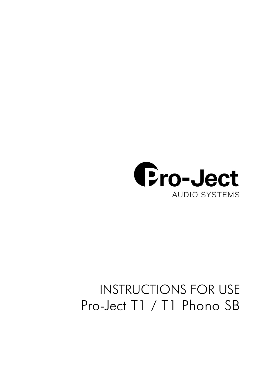

# INSTRUCTIONS FOR USE Pro-Ject T1 / T1 Phono SB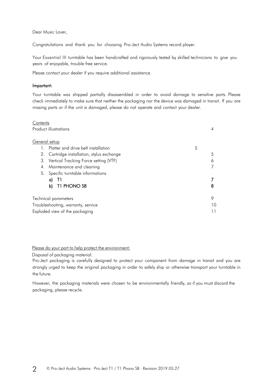Dear Music Lover,

Congratulations and thank you for choosing Pro-Ject Audio Systems record player.

Your Essential III turntable has been handcrafted and rigorously tested by skilled technicians to give you years of enjoyable, trouble free service.

Please contact your dealer if you require additional assistance.

### Important:

Your turntable was shipped partially disassembled in order to avoid damage to sensitive parts. Please check immediately to make sure that neither the packaging nor the device was damaged in transit. If you are missing parts or if the unit is damaged, please do not operate and contact your dealer.

| Contents                                   |   |  |
|--------------------------------------------|---|--|
| Product illustrations                      |   |  |
|                                            |   |  |
| General setup                              |   |  |
| 5<br>Platter and drive belt installation   |   |  |
| 2. Cartridge installation, stylus exchange | 5 |  |
| 3. Vertical Tracking Force setting (VTF)   | 6 |  |
| Maintenance and cleaning<br>4.             |   |  |
| 5. Specific turntable informations         |   |  |
| Q)                                         |   |  |
| T1 PHONO SB<br>b)                          | 8 |  |
| Technical parameters                       | 9 |  |
| Troubleshooting, warranty, service         |   |  |
| Exploded view of the packaging             |   |  |

Please do your part to help protect the environment:

Disposal of packaging material:

Pro-Ject packaging is carefully designed to protect your component from damage in transit and you are strongly urged to keep the original packaging in order to safely ship or otherwise transport your turntable in the future.

However, the packaging materials were chosen to be environmentally friendly, so if you must discard the packaging, please recycle.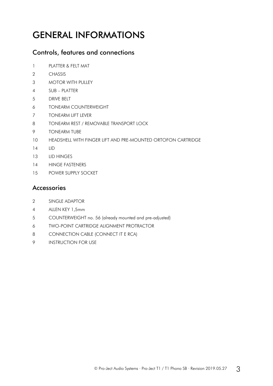## GENERAL INFORMATIONS

### Controls, features and connections

- PLATTER & FELT MAT
- 2 CHASSIS
- MOTOR WITH PULLEY
- SUB PLATTER
- DRIVE BELT
- TONEARM COUNTERWEIGHT
- TONEARM LIFT LEVER
- TONEARM REST / REMOVABLE TRANSPORT LOCK
- TONEARM TUBE
- HEADSHELL WITH FINGER LIFT AND PRE-MOUNTED ORTOFON CARTRIDGE
- LID
- 13 LID HINGES
- HINGE FASTENERS
- POWER SUPPLY SOCKET

### Accessories

- 2 SINGLE ADAPTOR
- ALLEN KEY 1,5mm
- COUNTERWEIGHT no. 56 (already mounted and pre-adjusted)
- TWO-POINT CARTRIDGE ALIGNMENT PROTRACTOR
- CONNECTION CABLE (CONNECT IT E RCA)
- INSTRUCTION FOR USE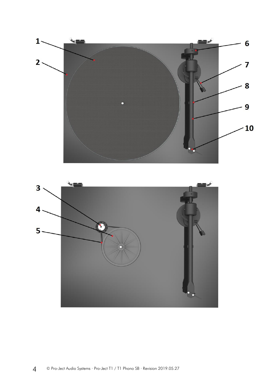

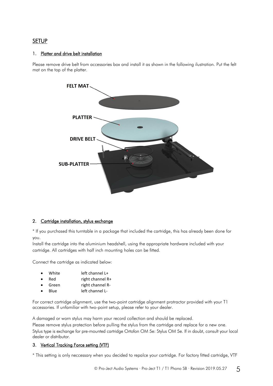### SETUP

### 1. Platter and drive belt installation

Please remove drive belt from accessories box and install it as shown in the following ilustration. Put the felt mat on the top of the platter.



### 2. Cartridge installation, stylus exchange

\* If you purchased this turntable in a package that included the cartridge, this has already been done for you.

Install the cartridge into the aluminium headshell, using the appropriate hardware included with your cartridge. All cartridges with half inch mounting holes can be fitted.

Connect the cartridge as indicated below:

| White | left channel L+ |
|-------|-----------------|
|       |                 |

- Red right channel R+
- Green right channel R-
- Blue left channel L-

For correct cartridge alignment, use the two-point cartridge alignment protractor provided with your T1 accessories. If unfamiliar with two-point setup, please refer to your dealer.

A damaged or worn stylus may harm your record collection and should be replaced. Please remove stylus protection before pulling the stylus from the cartridge and replace for a new one. Stylus type is exchange for pre-mounted cartridge Ortofon OM 5e: Stylus OM 5e. If in doubt, consult your local dealer or distributor.

### 3. Vertical Tracking Force setting (VTF)

\* This setting is only neccessary when you decided to repalce your cartridge. For factory fitted cartridge, VTF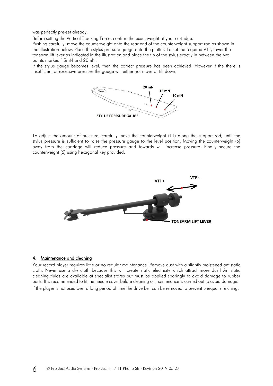was perfectly pre-set already.

Before setting the Vertical Tracking Force, confirm the exact weight of your cartridge.

Pushing carefully, move the counterweight onto the rear end of the counterweight support rod as shown in the illustration below. Place the stylus pressure gauge onto the platter. To set the required VTF, lower the tonearm lift lever as indicated in the illustration and place the tip of the stylus exactly in between the two points marked 15mN and 20mN.

If the stylus gauge becomes level, then the correct pressure has been achieved. However if the there is insufficient or excessive pressure the gauge will either not move or tilt down.



To adjust the amount of pressure, carefully move the counterweight (11) along the support rod, until the stylus pressure is sufficient to raise the pressure gauge to the level position. Moving the counterweight (6) away from the cartridge will reduce pressure and towards will increase pressure. Finally secure the counterweight (6) using hexagonal key provided.



### 4. Maintenance and cleaning

Your record player requires little or no regular maintenance. Remove dust with a slightly moistened antistatic cloth. Never use a dry cloth because this will create static electricity which attract more dust! Antistatic cleaning fluids are available at specialist stores but must be applied sparingly to avoid damage to rubber parts. It is recommended to fit the needle cover before cleaning or maintenance is carried out to avoid damage. If the player is not used over a long period of time the drive belt can be removed to prevent unequal stretching.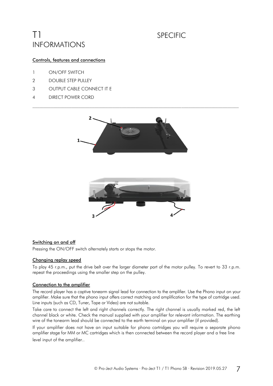## T1 SPECIFIC INFORMATIONS

### Controls, features and connections

- 1 ON/OFF SWITCH
- 2 DOUBLE STEP PULLEY
- 3 OUTPUT CABLE CONNECT IT E
- 4 DIRECT POWER CORD



### Switching on and off

Pressing the ON/OFF switch alternately starts or stops the motor.

### Changing replay speed

To play 45 r.p.m., put the drive belt over the larger diameter part of the motor pulley. To revert to 33 r.p.m. repeat the proceedings using the smaller step on the pulley.

### Connection to the amplifier

The record player has a captive tonearm signal lead for connection to the amplifier. Use the Phono input on your amplifier. Make sure that the phono input offers correct matching and amplification for the type of cartridge used. Line inputs (such as CD, Tuner, Tape or Video) are not suitable.

Take care to connect the left and right channels correctly. The right channel is usually marked red, the left channel black or white. Check the manual supplied with your amplifier for relevant information. The earthing wire of the tonearm lead should be connected to the earth terminal on your amplifier (if provided).

If your amplifier does not have an input suitable for phono cartridges you will require a separate phono amplifier stage for MM or MC cartridges which is then connected between the record player and a free line level input of the amplifier..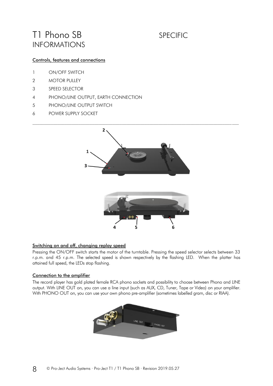## T1 Phono SB SPECIFIC INFORMATIONS

### Controls, features and connections

- 1 ON/OFF SWITCH
- 2 MOTOR PULLEY
- 3 SPEED SELECTOR
- 4 PHONO/LINE OUTPUT, EARTH CONNECTION
- 5 PHONO/LINE OUTPUT SWITCH
- 6 POWER SUPPLY SOCKET



### Switching on and off, changing replay speed

Pressing the ON/OFF switch starts the motor of the turntable. Pressing the speed selector selects between 33 r.p.m. and 45 r.p.m. The selected speed is shown respectively by the flashing LED. When the platter has attained full speed, the LEDs stop flashing.

### Connection to the amplifier

The record player has gold plated female RCA phono sockets and possibility to choose between Phono and LINE output. With LINE OUT on, you can use a line input (such as AUX, CD, Tuner, Tape or Video) on your amplifier. With PHONO OUT on, you can use your own phono pre-amplifier (sometimes labelled gram, disc or RIAA).

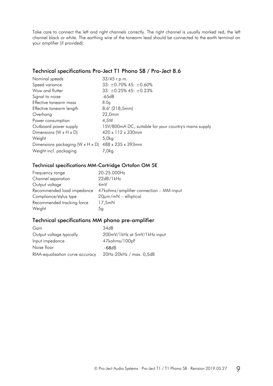Take care to connect the left and right channels correctly. The right channel is usually marked red, the left channel black or white. The earthing wire of the tonearm lead should be connected to the earth terminal on your amplifier (if provided).

### Technical specifications Pro-Ject T1 Phono SB / Pro-Ject 8.6

| Nominal speeds                                     | 33/45 r.p.m.                                           |
|----------------------------------------------------|--------------------------------------------------------|
| Speed variance                                     | 33: $\pm$ 0.70% 45: $\pm$ 0.60%                        |
| Wow and flutter                                    | $33: \pm 0.25\%$ 45: $\pm 0.23\%$                      |
| Signal to noise                                    | -65dB                                                  |
| Effective tonearm mass                             | 8.0q                                                   |
| Effective tonearm length                           | $8.6^{\circ}$ (218,5mm)                                |
| Overhang                                           | 22,0mm                                                 |
| Power consumption                                  | 4.5W                                                   |
| Outboard power supply                              | 15V/800mA DC, suitable for your country's mains supply |
| Dimensions ( $W \times H \times D$ )               | $420 \times 112 \times 330$ mm                         |
| Weight                                             | 5,0kg                                                  |
| Dimensions packaging (W x H x D) 488 x 235 x 393mm |                                                        |
| Weight incl. packaging                             | 7,0kg                                                  |

### Technical specifications MM-Cartridge Ortofon OM 5E

| 20-25.000Hz                             |
|-----------------------------------------|
| 22dB/1kHz                               |
| 4mV                                     |
| 47kohms/amplifier connection – MM-input |
| $20 \mu m/mN$ – elliptical              |
| 17,5mN                                  |
| 5 <sub>q</sub>                          |
|                                         |

### Technical specifications MM phono pre-amplifier

| Gain                             | 34dB                         |
|----------------------------------|------------------------------|
| Output voltage typically         | 200mV/1kHz at 5mV/1kHz input |
| Input impedance                  | 47kohms/100pF                |
| Noise floor                      | -68dB                        |
| RIAA-equalisation curve accuracy | 20Hz-20kHz / max. 0,5dB      |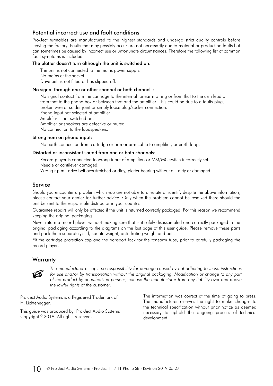### Potential incorrect use and fault conditions

Pro-Ject turntables are manufactured to the highest standards and undergo strict quality controls before leaving the factory. Faults that may possibly occur are not necessarily due to material or production faults but can sometimes be caused by incorrect use or unfortunate circumstances. Therefore the following list of common fault symptoms is included.

### The platter doesn't turn although the unit is switched on:

The unit is not connected to the mains power supply. No mains at the socket. Drive belt is not fitted or has slipped off.

### No signal through one or other channel or both channels:

No signal contact from the cartridge to the internal tonearm wiring or from that to the arm lead or from that to the phono box or between that and the amplifier. This could be due to a faulty plug, broken wire or solder joint or simply loose plug/socket connection. Phono input not selected at amplifier.

Amplifier is not switched on.

Amplifier or speakers are defective or muted.

No connection to the loudspeakers.

### Strong hum on phono input:

No earth connection from cartridge or arm or arm cable to amplifier, or earth loop.

### Distorted or inconsistent sound from one or both channels:

Record player is connected to wrong input of amplifier, or MM/MC switch incorrectly set. Needle or cantilever damaged.

Wrong r.p.m., drive belt overstretched or dirty, platter bearing without oil, dirty or damaged

### Service

Should you encounter a problem which you are not able to alleviate or identify despite the above information, please contact your dealer for further advice. Only when the problem cannot be resolved there should the unit be sent to the responsible distributor in your country.

Guarantee repairs will only be affected if the unit is returned correctly packaged. For this reason we recommend keeping the original packaging.

Never return a record player without making sure that is it safely disassembled and correctly packaged in the original packaging according to the diagrams on the last page of this user guide. Please remove these parts and pack them separately: lid, counterweight, anti-skating weight and belt.

Fit the cartridge protection cap and the transport lock for the tonearm tube, prior to carefully packaging the record player.

### **Warranty**



*The manufacturer accepts no responsibility for damage caused by not adhering to these instructions for use and/or by transportation without the original packaging. Modification or change to any part of the product by unauthorized persons, release the manufacturer from any liability over and above the lawful rights of the customer.*

Pro-Ject Audio Systems is a Registered Trademark of H. Lichtenegger.

This guide was produced by: Pro-Ject Audio Systems Copyright © 2019. All rights reserved.

The information was correct at the time of going to press. The manufacturer reserves the right to make changes to the technical specification without prior notice as deemed necessary to uphold the ongoing process of technical development.